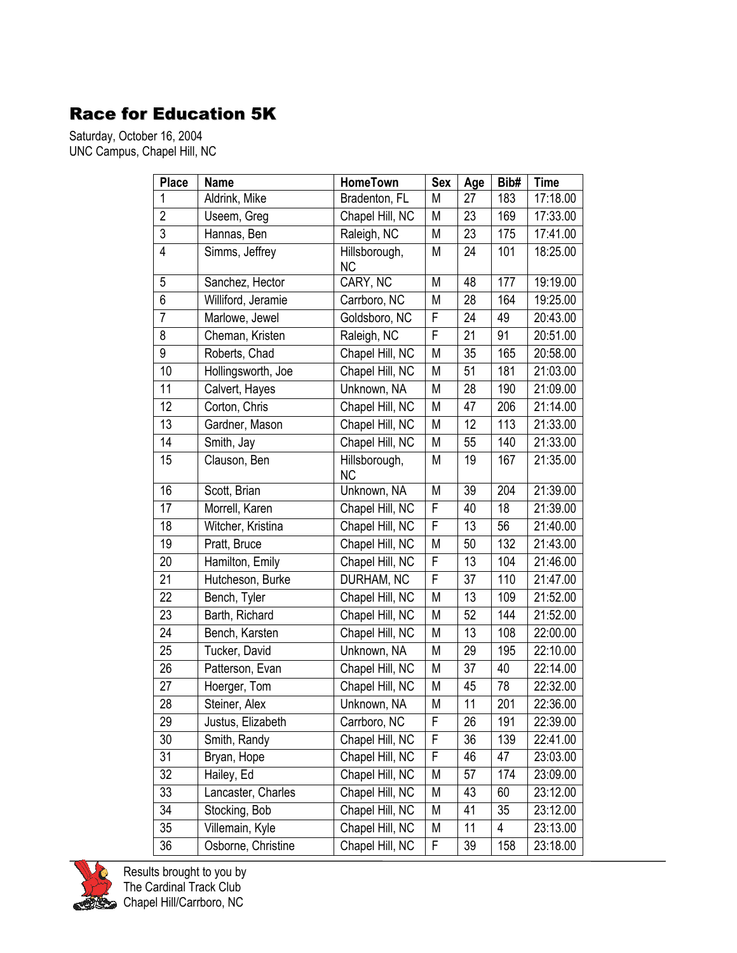## Race for Education 5K

Saturday, October 16, 2004 UNC Campus, Chapel Hill, NC

| <b>Place</b>            | <b>Name</b>        | <b>HomeTown</b>            | <b>Sex</b> | Age | Bib# | <b>Time</b> |
|-------------------------|--------------------|----------------------------|------------|-----|------|-------------|
| 1                       | Aldrink, Mike      | Bradenton, FL              | M          | 27  | 183  | 17:18.00    |
| $\overline{2}$          | Useem, Greg        | Chapel Hill, NC            | M          | 23  | 169  | 17:33.00    |
| $\overline{3}$          | Hannas, Ben        | Raleigh, NC                | M          | 23  | 175  | 17:41.00    |
| $\overline{\mathbf{4}}$ | Simms, Jeffrey     | Hillsborough,<br><b>NC</b> | M          | 24  | 101  | 18:25.00    |
| 5                       | Sanchez, Hector    | CARY, NC                   | M          | 48  | 177  | 19:19.00    |
| 6                       | Williford, Jeramie | Carrboro, NC               | M          | 28  | 164  | 19:25.00    |
| $\overline{7}$          | Marlowe, Jewel     | Goldsboro, NC              | F          | 24  | 49   | 20:43.00    |
| 8                       | Cheman, Kristen    | Raleigh, NC                | F          | 21  | 91   | 20:51.00    |
| 9                       | Roberts, Chad      | Chapel Hill, NC            | M          | 35  | 165  | 20:58.00    |
| 10                      | Hollingsworth, Joe | Chapel Hill, NC            | M          | 51  | 181  | 21:03.00    |
| 11                      | Calvert, Hayes     | Unknown, NA                | M          | 28  | 190  | 21:09.00    |
| 12                      | Corton, Chris      | Chapel Hill, NC            | M          | 47  | 206  | 21:14.00    |
| 13                      | Gardner, Mason     | Chapel Hill, NC            | M          | 12  | 113  | 21:33.00    |
| 14                      | Smith, Jay         | Chapel Hill, NC            | M          | 55  | 140  | 21:33.00    |
| 15                      | Clauson, Ben       | Hillsborough,<br><b>NC</b> | M          | 19  | 167  | 21:35.00    |
| 16                      | Scott, Brian       | Unknown, NA                | ${\sf M}$  | 39  | 204  | 21:39.00    |
| 17                      | Morrell, Karen     | Chapel Hill, NC            | F          | 40  | 18   | 21:39.00    |
| 18                      | Witcher, Kristina  | Chapel Hill, NC            | F          | 13  | 56   | 21:40.00    |
| 19                      | Pratt, Bruce       | Chapel Hill, NC            | М          | 50  | 132  | 21:43.00    |
| 20                      | Hamilton, Emily    | Chapel Hill, NC            | F          | 13  | 104  | 21:46.00    |
| 21                      | Hutcheson, Burke   | DURHAM, NC                 | F          | 37  | 110  | 21:47.00    |
| 22                      | Bench, Tyler       | Chapel Hill, NC            | M          | 13  | 109  | 21:52.00    |
| 23                      | Barth, Richard     | Chapel Hill, NC            | M          | 52  | 144  | 21:52.00    |
| 24                      | Bench, Karsten     | Chapel Hill, NC            | M          | 13  | 108  | 22:00.00    |
| 25                      | Tucker, David      | Unknown, NA                | M          | 29  | 195  | 22:10.00    |
| 26                      | Patterson, Evan    | Chapel Hill, NC            | М          | 37  | 40   | 22:14.00    |
| 27                      | Hoerger, Tom       | Chapel Hill, NC            | М          | 45  | 78   | 22:32.00    |
| 28                      | Steiner, Alex      | Unknown, NA                | M          | 11  | 201  | 22:36.00    |
| 29                      | Justus, Elizabeth  | Carrboro, NC               | F          | 26  | 191  | 22:39.00    |
| 30                      | Smith, Randy       | Chapel Hill, NC            | F          | 36  | 139  | 22:41.00    |
| 31                      | Bryan, Hope        | Chapel Hill, NC            | F          | 46  | 47   | 23:03.00    |
| 32                      | Hailey, Ed         | Chapel Hill, NC            | M          | 57  | 174  | 23:09.00    |
| 33                      | Lancaster, Charles | Chapel Hill, NC            | M          | 43  | 60   | 23:12.00    |
| 34                      | Stocking, Bob      | Chapel Hill, NC            | M          | 41  | 35   | 23:12.00    |
| 35                      | Villemain, Kyle    | Chapel Hill, NC            | M          | 11  | 4    | 23:13.00    |
| 36                      | Osborne, Christine | Chapel Hill, NC            | F          | 39  | 158  | 23:18.00    |



Results brought to you by The Cardinal Track Club Chapel Hill/Carrboro, NC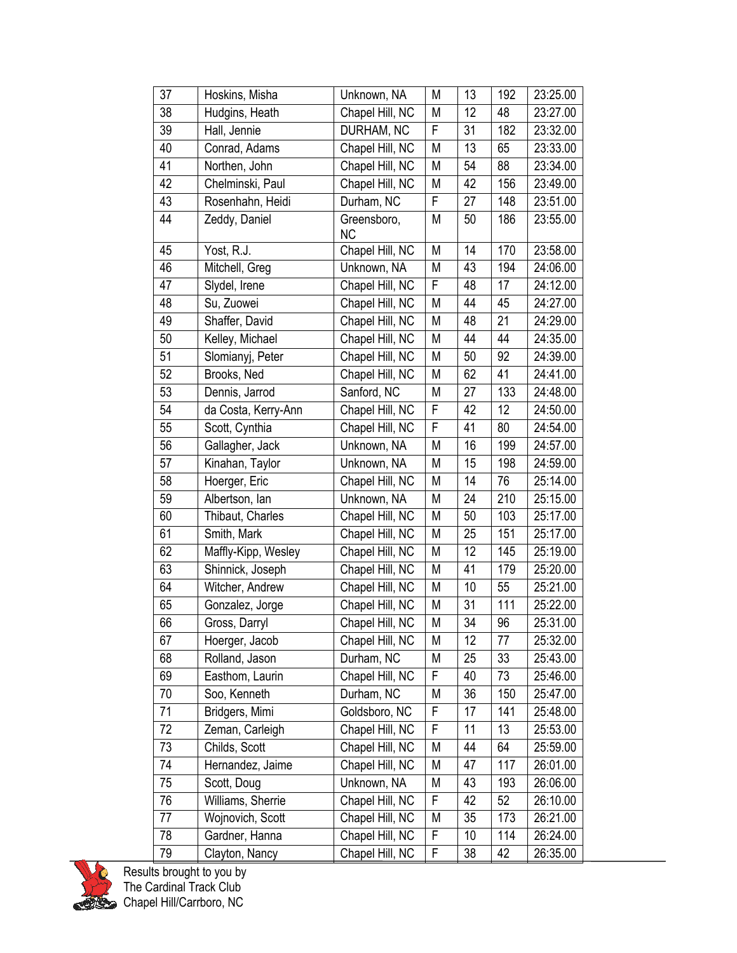| 37 | Hoskins, Misha      | Unknown, NA              | M         | 13 | 192 | 23:25.00 |
|----|---------------------|--------------------------|-----------|----|-----|----------|
| 38 | Hudgins, Heath      | Chapel Hill, NC          | M         | 12 | 48  | 23:27.00 |
| 39 | Hall, Jennie        | DURHAM, NC               | F         | 31 | 182 | 23:32.00 |
| 40 | Conrad, Adams       | Chapel Hill, NC          | M         | 13 | 65  | 23:33.00 |
| 41 | Northen, John       | Chapel Hill, NC          | M         | 54 | 88  | 23:34.00 |
| 42 | Chelminski, Paul    | Chapel Hill, NC          | M         | 42 | 156 | 23:49.00 |
| 43 | Rosenhahn, Heidi    | Durham, NC               | F         | 27 | 148 | 23:51.00 |
| 44 | Zeddy, Daniel       | Greensboro,<br><b>NC</b> | M         | 50 | 186 | 23:55.00 |
| 45 | Yost, R.J.          | Chapel Hill, NC          | M         | 14 | 170 | 23:58.00 |
| 46 | Mitchell, Greg      | Unknown, NA              | M         | 43 | 194 | 24:06.00 |
| 47 | Slydel, Irene       | Chapel Hill, NC          | F         | 48 | 17  | 24:12.00 |
| 48 | Su, Zuowei          | Chapel Hill, NC          | M         | 44 | 45  | 24:27.00 |
| 49 | Shaffer, David      | Chapel Hill, NC          | M         | 48 | 21  | 24:29.00 |
| 50 | Kelley, Michael     | Chapel Hill, NC          | M         | 44 | 44  | 24:35.00 |
| 51 | Slomianyj, Peter    | Chapel Hill, NC          | M         | 50 | 92  | 24:39.00 |
| 52 | Brooks, Ned         | Chapel Hill, NC          | M         | 62 | 41  | 24:41.00 |
| 53 | Dennis, Jarrod      | Sanford, NC              | M         | 27 | 133 | 24:48.00 |
| 54 | da Costa, Kerry-Ann | Chapel Hill, NC          | F         | 42 | 12  | 24:50.00 |
| 55 | Scott, Cynthia      | Chapel Hill, NC          | F         | 41 | 80  | 24:54.00 |
| 56 | Gallagher, Jack     | Unknown, NA              | M         | 16 | 199 | 24:57.00 |
| 57 | Kinahan, Taylor     | Unknown, NA              | M         | 15 | 198 | 24:59.00 |
| 58 | Hoerger, Eric       | Chapel Hill, NC          | M         | 14 | 76  | 25:14.00 |
| 59 | Albertson, Ian      | Unknown, NA              | M         | 24 | 210 | 25:15.00 |
| 60 | Thibaut, Charles    | Chapel Hill, NC          | M         | 50 | 103 | 25:17.00 |
| 61 | Smith, Mark         | Chapel Hill, NC          | M         | 25 | 151 | 25:17.00 |
| 62 | Maffly-Kipp, Wesley | Chapel Hill, NC          | ${\sf M}$ | 12 | 145 | 25:19.00 |
| 63 | Shinnick, Joseph    | Chapel Hill, NC          | M         | 41 | 179 | 25:20.00 |
| 64 | Witcher, Andrew     | Chapel Hill, NC          | M         | 10 | 55  | 25:21.00 |
| 65 | Gonzalez, Jorge     | Chapel Hill, NC          | M         | 31 | 111 | 25:22.00 |
| 66 | Gross, Darryl       | Chapel Hill, NC          | ${\sf M}$ | 34 | 96  | 25:31.00 |
| 67 | Hoerger, Jacob      | Chapel Hill, NC          | M         | 12 | 77  | 25:32.00 |
| 68 | Rolland, Jason      | Durham, NC               | M         | 25 | 33  | 25:43.00 |
| 69 | Easthom, Laurin     | Chapel Hill, NC          | F         | 40 | 73  | 25:46.00 |
| 70 | Soo, Kenneth        | Durham, NC               | M         | 36 | 150 | 25:47.00 |
| 71 | Bridgers, Mimi      | Goldsboro, NC            | F         | 17 | 141 | 25:48.00 |
| 72 | Zeman, Carleigh     | Chapel Hill, NC          | F         | 11 | 13  | 25:53.00 |
| 73 | Childs, Scott       | Chapel Hill, NC          | M         | 44 | 64  | 25:59.00 |
| 74 | Hernandez, Jaime    | Chapel Hill, NC          | M         | 47 | 117 | 26:01.00 |
| 75 | Scott, Doug         | Unknown, NA              | M         | 43 | 193 | 26:06.00 |
| 76 | Williams, Sherrie   | Chapel Hill, NC          | F         | 42 | 52  | 26:10.00 |
| 77 | Wojnovich, Scott    | Chapel Hill, NC          | M         | 35 | 173 | 26:21.00 |
| 78 | Gardner, Hanna      | Chapel Hill, NC          | F         | 10 | 114 | 26:24.00 |
| 79 | Clayton, Nancy      | Chapel Hill, NC          | F         | 38 | 42  | 26:35.00 |

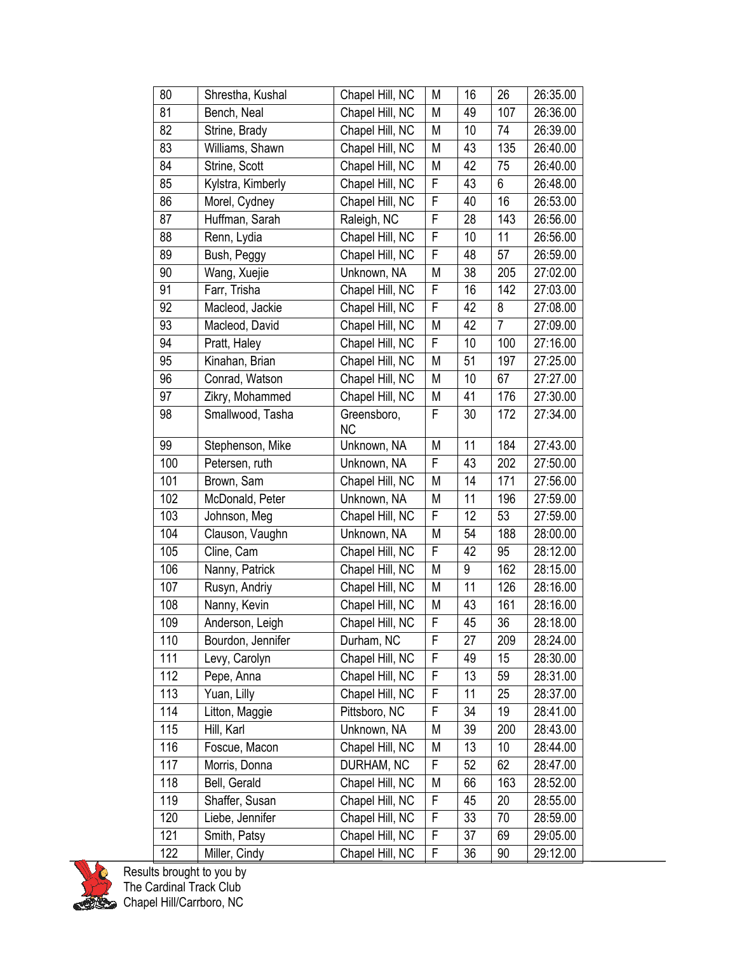| 80  | Shrestha, Kushal  | Chapel Hill, NC          | M           | 16 | 26  | 26:35.00 |
|-----|-------------------|--------------------------|-------------|----|-----|----------|
| 81  | Bench, Neal       | Chapel Hill, NC          | M           | 49 | 107 | 26:36.00 |
| 82  | Strine, Brady     | Chapel Hill, NC          | M           | 10 | 74  | 26:39.00 |
| 83  | Williams, Shawn   | Chapel Hill, NC          | M           | 43 | 135 | 26:40.00 |
| 84  | Strine, Scott     | Chapel Hill, NC          | M           | 42 | 75  | 26:40.00 |
| 85  | Kylstra, Kimberly | Chapel Hill, NC          | F           | 43 | 6   | 26:48.00 |
| 86  | Morel, Cydney     | Chapel Hill, NC          | F           | 40 | 16  | 26:53.00 |
| 87  | Huffman, Sarah    | Raleigh, NC              | F           | 28 | 143 | 26:56.00 |
| 88  | Renn, Lydia       | Chapel Hill, NC          | F           | 10 | 11  | 26:56.00 |
| 89  | Bush, Peggy       | Chapel Hill, NC          | F           | 48 | 57  | 26:59.00 |
| 90  | Wang, Xuejie      | Unknown, NA              | M           | 38 | 205 | 27:02.00 |
| 91  | Farr, Trisha      | Chapel Hill, NC          | F           | 16 | 142 | 27:03.00 |
| 92  | Macleod, Jackie   | Chapel Hill, NC          | F           | 42 | 8   | 27:08.00 |
| 93  | Macleod, David    | Chapel Hill, NC          | M           | 42 | 7   | 27:09.00 |
| 94  | Pratt, Haley      | Chapel Hill, NC          | F           | 10 | 100 | 27:16.00 |
| 95  | Kinahan, Brian    | Chapel Hill, NC          | M           | 51 | 197 | 27:25.00 |
| 96  | Conrad, Watson    | Chapel Hill, NC          | M           | 10 | 67  | 27:27.00 |
| 97  | Zikry, Mohammed   | Chapel Hill, NC          | M           | 41 | 176 | 27:30.00 |
| 98  | Smallwood, Tasha  | Greensboro,<br><b>NC</b> | F           | 30 | 172 | 27:34.00 |
| 99  | Stephenson, Mike  | Unknown, NA              | M           | 11 | 184 | 27:43.00 |
| 100 | Petersen, ruth    | Unknown, NA              | F           | 43 | 202 | 27:50.00 |
| 101 | Brown, Sam        | Chapel Hill, NC          | M           | 14 | 171 | 27:56.00 |
| 102 | McDonald, Peter   | Unknown, NA              | M           | 11 | 196 | 27:59.00 |
| 103 | Johnson, Meg      | Chapel Hill, NC          | F           | 12 | 53  | 27:59.00 |
| 104 | Clauson, Vaughn   | Unknown, NA              | M           | 54 | 188 | 28:00.00 |
| 105 | Cline, Cam        | Chapel Hill, NC          | F           | 42 | 95  | 28:12.00 |
| 106 | Nanny, Patrick    | Chapel Hill, NC          | M           | 9  | 162 | 28:15.00 |
| 107 | Rusyn, Andriy     | Chapel Hill, NC          | M           | 11 | 126 | 28:16.00 |
| 108 | Nanny, Kevin      | Chapel Hill, NC          | M           | 43 | 161 | 28:16.00 |
| 109 | Anderson, Leigh   | Chapel Hill, NC          | F           | 45 | 36  | 28:18.00 |
| 110 | Bourdon, Jennifer | Durham, NC               | F           | 27 | 209 | 28:24.00 |
| 111 | Levy, Carolyn     | Chapel Hill, NC          | F           | 49 | 15  | 28:30.00 |
| 112 | Pepe, Anna        | Chapel Hill, NC          | F           | 13 | 59  | 28:31.00 |
| 113 | Yuan, Lilly       | Chapel Hill, NC          | F           | 11 | 25  | 28:37.00 |
| 114 | Litton, Maggie    | Pittsboro, NC            | $\mathsf F$ | 34 | 19  | 28:41.00 |
| 115 | Hill, Karl        | Unknown, NA              | M           | 39 | 200 | 28:43.00 |
| 116 | Foscue, Macon     | Chapel Hill, NC          | M           | 13 | 10  | 28:44.00 |
| 117 | Morris, Donna     | DURHAM, NC               | F           | 52 | 62  | 28:47.00 |
| 118 | Bell, Gerald      | Chapel Hill, NC          | M           | 66 | 163 | 28:52.00 |
| 119 | Shaffer, Susan    | Chapel Hill, NC          | F           | 45 | 20  | 28:55.00 |
| 120 | Liebe, Jennifer   | Chapel Hill, NC          | F           | 33 | 70  | 28:59.00 |
| 121 | Smith, Patsy      | Chapel Hill, NC          | $\mathsf F$ | 37 | 69  | 29:05.00 |
| 122 | Miller, Cindy     | Chapel Hill, NC          | F           | 36 | 90  | 29:12.00 |



Results brought to you by The Cardinal Track Club Chapel Hill/Carrboro, NC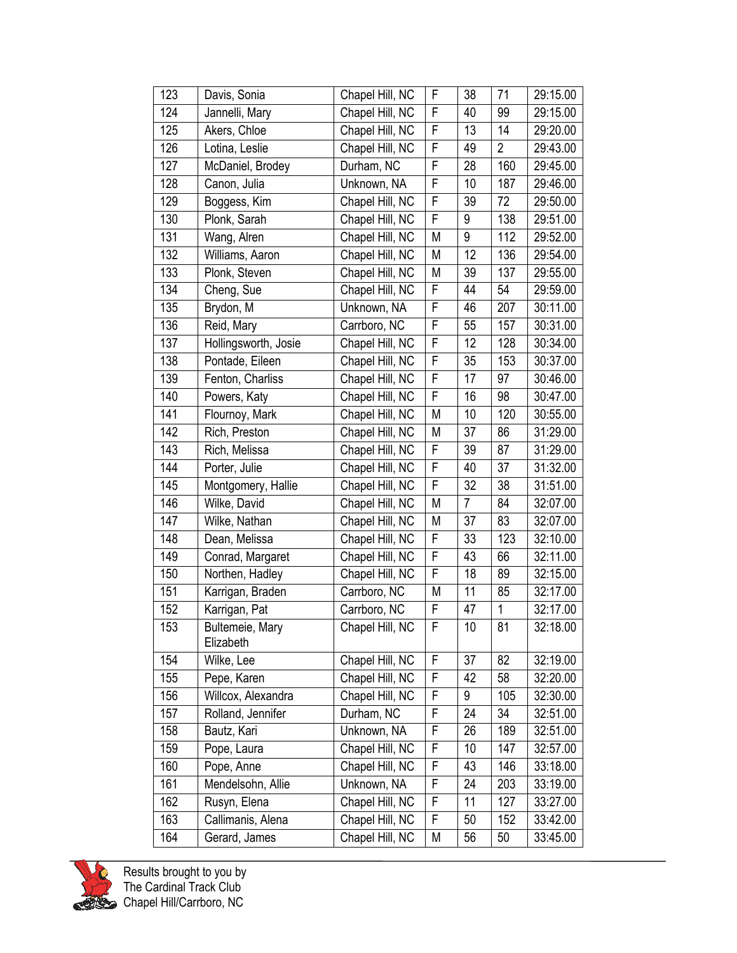| 123 | Davis, Sonia                 | Chapel Hill, NC | F         | 38             | 71             | 29:15.00 |
|-----|------------------------------|-----------------|-----------|----------------|----------------|----------|
| 124 | Jannelli, Mary               | Chapel Hill, NC | F         | 40             | 99             | 29:15.00 |
| 125 | Akers, Chloe                 | Chapel Hill, NC | F         | 13             | 14             | 29:20.00 |
| 126 | Lotina, Leslie               | Chapel Hill, NC | F         | 49             | $\overline{2}$ | 29:43.00 |
| 127 | McDaniel, Brodey             | Durham, NC      | F         | 28             | 160            | 29:45.00 |
| 128 | Canon, Julia                 | Unknown, NA     | F         | 10             | 187            | 29:46.00 |
| 129 | Boggess, Kim                 | Chapel Hill, NC | F         | 39             | 72             | 29:50.00 |
| 130 | Plonk, Sarah                 | Chapel Hill, NC | F         | 9              | 138            | 29:51.00 |
| 131 | Wang, Alren                  | Chapel Hill, NC | M         | 9              | 112            | 29:52.00 |
| 132 | Williams, Aaron              | Chapel Hill, NC | M         | 12             | 136            | 29:54.00 |
| 133 | Plonk, Steven                | Chapel Hill, NC | M         | 39             | 137            | 29:55.00 |
| 134 | Cheng, Sue                   | Chapel Hill, NC | F         | 44             | 54             | 29:59.00 |
| 135 | Brydon, M                    | Unknown, NA     | F         | 46             | 207            | 30:11.00 |
| 136 | Reid, Mary                   | Carrboro, NC    | F         | 55             | 157            | 30:31.00 |
| 137 | Hollingsworth, Josie         | Chapel Hill, NC | F         | 12             | 128            | 30:34.00 |
| 138 | Pontade, Eileen              | Chapel Hill, NC | F         | 35             | 153            | 30:37.00 |
| 139 | Fenton, Charliss             | Chapel Hill, NC | F         | 17             | 97             | 30:46.00 |
| 140 | Powers, Katy                 | Chapel Hill, NC | F         | 16             | 98             | 30:47.00 |
| 141 | Flournoy, Mark               | Chapel Hill, NC | M         | 10             | 120            | 30:55.00 |
| 142 | Rich, Preston                | Chapel Hill, NC | M         | 37             | 86             | 31:29.00 |
| 143 | Rich, Melissa                | Chapel Hill, NC | F         | 39             | 87             | 31:29.00 |
| 144 | Porter, Julie                | Chapel Hill, NC | F         | 40             | 37             | 31:32.00 |
| 145 | Montgomery, Hallie           | Chapel Hill, NC | F         | 32             | 38             | 31:51.00 |
| 146 | Wilke, David                 | Chapel Hill, NC | ${\sf M}$ | $\overline{7}$ | 84             | 32:07.00 |
| 147 | Wilke, Nathan                | Chapel Hill, NC | M         | 37             | 83             | 32:07.00 |
| 148 | Dean, Melissa                | Chapel Hill, NC | F         | 33             | 123            | 32:10.00 |
| 149 | Conrad, Margaret             | Chapel Hill, NC | F         | 43             | 66             | 32:11.00 |
| 150 | Northen, Hadley              | Chapel Hill, NC | F         | 18             | 89             | 32:15.00 |
| 151 | Karrigan, Braden             | Carrboro, NC    | M         | 11             | 85             | 32:17.00 |
| 152 | Karrigan, Pat                | Carrboro, NC    | F         | 47             | 1              | 32:17.00 |
| 153 | Bultemeie, Mary<br>Elizabeth | Chapel Hill, NC | F         | 10             | 81             | 32:18.00 |
| 154 | Wilke, Lee                   | Chapel Hill, NC | F         | 37             | 82             | 32:19.00 |
| 155 | Pepe, Karen                  | Chapel Hill, NC | F         | 42             | 58             | 32:20.00 |
| 156 | Willcox, Alexandra           | Chapel Hill, NC | F         | 9              | 105            | 32:30.00 |
| 157 | Rolland, Jennifer            | Durham, NC      | F         | 24             | 34             | 32:51.00 |
| 158 | Bautz, Kari                  | Unknown, NA     | F         | 26             | 189            | 32:51.00 |
| 159 | Pope, Laura                  | Chapel Hill, NC | F         | 10             | 147            | 32:57.00 |
| 160 | Pope, Anne                   | Chapel Hill, NC | F         | 43             | 146            | 33:18.00 |
| 161 | Mendelsohn, Allie            | Unknown, NA     | F         | 24             | 203            | 33:19.00 |
| 162 | Rusyn, Elena                 | Chapel Hill, NC | F         | 11             | 127            | 33:27.00 |
| 163 | Callimanis, Alena            | Chapel Hill, NC | F         | 50             | 152            | 33:42.00 |
| 164 | Gerard, James                | Chapel Hill, NC | M         | 56             | 50             | 33:45.00 |



Results brought to you by The Cardinal Track Club Chapel Hill/Carrboro, NC